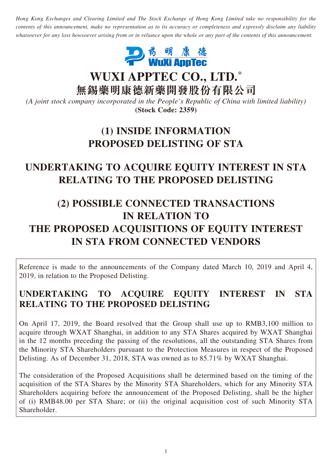*Hong Kong Exchanges and Clearing Limited and The Stock Exchange of Hong Kong Limited take no responsibility for the contents of this announcement, make no representation as to its accuracy or completeness and expressly disclaim any liability whatsoever for any loss howsoever arising from or in reliance upon the whole or any part of the contents of this announcement.*



**WUXI APPTEC CO., LTD.**\*

**無錫藥明康德新藥開發股份有限公司**

*(A joint stock company incorporated in the People's Republic of China with limited liability)* **(Stock Code: 2359)**

## **(1) INSIDE INFORMATION PROPOSED DELISTING OF STA**

# **UNDERTAKING TO ACQUIRE EQUITY INTEREST IN STA RELATING TO THE PROPOSED DELISTING**

# **(2) POSSIBLE CONNECTED TRANSACTIONS IN RELATION TO THE PROPOSED ACQUISITIONS OF EQUITY INTEREST IN STA FROM CONNECTED VENDORS**

Reference is made to the announcements of the Company dated March 10, 2019 and April 4, 2019, in relation to the Proposed Delisting.

#### **UNDERTAKING TO ACQUIRE EQUITY INTEREST IN STA RELATING TO THE PROPOSED DELISTING**

On April 17, 2019, the Board resolved that the Group shall use up to RMB3,100 million to acquire through WXAT Shanghai, in addition to any STA Shares acquired by WXAT Shanghai in the 12 months preceding the passing of the resolutions, all the outstanding STA Shares from the Minority STA Shareholders pursuant to the Protection Measures in respect of the Proposed Delisting. As of December 31, 2018, STA was owned as to 85.71% by WXAT Shanghai.

The consideration of the Proposed Acquisitions shall be determined based on the timing of the acquisition of the STA Shares by the Minority STA Shareholders, which for any Minority STA Shareholders acquiring before the announcement of the Proposed Delisting, shall be the higher of (i) RMB48.00 per STA Share; or (ii) the original acquisition cost of such Minority STA Shareholder.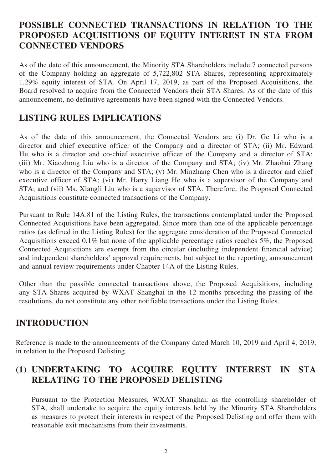#### **POSSIBLE CONNECTED TRANSACTIONS IN RELATION TO THE PROPOSED ACQUISITIONS OF EQUITY INTEREST IN STA FROM CONNECTED VENDORS**

As of the date of this announcement, the Minority STA Shareholders include 7 connected persons of the Company holding an aggregate of 5,722,802 STA Shares, representing approximately 1.29% equity interest of STA. On April 17, 2019, as part of the Proposed Acquisitions, the Board resolved to acquire from the Connected Vendors their STA Shares. As of the date of this announcement, no definitive agreements have been signed with the Connected Vendors.

## **LISTING RULES IMPLICATIONS**

As of the date of this announcement, the Connected Vendors are (i) Dr. Ge Li who is a director and chief executive officer of the Company and a director of STA; (ii) Mr. Edward Hu who is a director and co-chief executive officer of the Company and a director of STA; (iii) Mr. Xiaozhong Liu who is a director of the Company and STA; (iv) Mr. Zhaohui Zhang who is a director of the Company and STA; (v) Mr. Minzhang Chen who is a director and chief executive officer of STA; (vi) Mr. Harry Liang He who is a supervisor of the Company and STA; and (vii) Ms. Xiangli Liu who is a supervisor of STA. Therefore, the Proposed Connected Acquisitions constitute connected transactions of the Company.

Pursuant to Rule 14A.81 of the Listing Rules, the transactions contemplated under the Proposed Connected Acquisitions have been aggregated. Since more than one of the applicable percentage ratios (as defined in the Listing Rules) for the aggregate consideration of the Proposed Connected Acquisitions exceed 0.1% but none of the applicable percentage ratios reaches 5%, the Proposed Connected Acquisitions are exempt from the circular (including independent financial advice) and independent shareholders' approval requirements, but subject to the reporting, announcement and annual review requirements under Chapter 14A of the Listing Rules.

Other than the possible connected transactions above, the Proposed Acquisitions, including any STA Shares acquired by WXAT Shanghai in the 12 months preceding the passing of the resolutions, do not constitute any other notifiable transactions under the Listing Rules.

### **INTRODUCTION**

Reference is made to the announcements of the Company dated March 10, 2019 and April 4, 2019, in relation to the Proposed Delisting.

#### **(1) UNDERTAKING TO ACQUIRE EQUITY INTEREST IN STA RELATING TO THE PROPOSED DELISTING**

Pursuant to the Protection Measures, WXAT Shanghai, as the controlling shareholder of STA, shall undertake to acquire the equity interests held by the Minority STA Shareholders as measures to protect their interests in respect of the Proposed Delisting and offer them with reasonable exit mechanisms from their investments.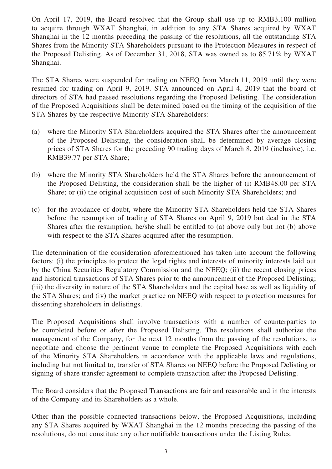On April 17, 2019, the Board resolved that the Group shall use up to RMB3,100 million to acquire through WXAT Shanghai, in addition to any STA Shares acquired by WXAT Shanghai in the 12 months preceding the passing of the resolutions, all the outstanding STA Shares from the Minority STA Shareholders pursuant to the Protection Measures in respect of the Proposed Delisting. As of December 31, 2018, STA was owned as to 85.71% by WXAT Shanghai.

The STA Shares were suspended for trading on NEEQ from March 11, 2019 until they were resumed for trading on April 9, 2019. STA announced on April 4, 2019 that the board of directors of STA had passed resolutions regarding the Proposed Delisting. The consideration of the Proposed Acquisitions shall be determined based on the timing of the acquisition of the STA Shares by the respective Minority STA Shareholders:

- (a) where the Minority STA Shareholders acquired the STA Shares after the announcement of the Proposed Delisting, the consideration shall be determined by average closing prices of STA Shares for the preceding 90 trading days of March 8, 2019 (inclusive), i.e. RMB39.77 per STA Share;
- (b) where the Minority STA Shareholders held the STA Shares before the announcement of the Proposed Delisting, the consideration shall be the higher of (i) RMB48.00 per STA Share; or (ii) the original acquisition cost of such Minority STA Shareholders; and
- (c) for the avoidance of doubt, where the Minority STA Shareholders held the STA Shares before the resumption of trading of STA Shares on April 9, 2019 but deal in the STA Shares after the resumption, he/she shall be entitled to (a) above only but not (b) above with respect to the STA Shares acquired after the resumption.

The determination of the consideration aforementioned has taken into account the following factors: (i) the principles to protect the legal rights and interests of minority interests laid out by the China Securities Regulatory Commission and the NEEQ; (ii) the recent closing prices and historical transactions of STA Shares prior to the announcement of the Proposed Delisting; (iii) the diversity in nature of the STA Shareholders and the capital base as well as liquidity of the STA Shares; and (iv) the market practice on NEEQ with respect to protection measures for dissenting shareholders in delistings.

The Proposed Acquisitions shall involve transactions with a number of counterparties to be completed before or after the Proposed Delisting. The resolutions shall authorize the management of the Company, for the next 12 months from the passing of the resolutions, to negotiate and choose the pertinent venue to complete the Proposed Acquisitions with each of the Minority STA Shareholders in accordance with the applicable laws and regulations, including but not limited to, transfer of STA Shares on NEEQ before the Proposed Delisting or signing of share transfer agreement to complete transaction after the Proposed Delisting.

The Board considers that the Proposed Transactions are fair and reasonable and in the interests of the Company and its Shareholders as a whole.

Other than the possible connected transactions below, the Proposed Acquisitions, including any STA Shares acquired by WXAT Shanghai in the 12 months preceding the passing of the resolutions, do not constitute any other notifiable transactions under the Listing Rules.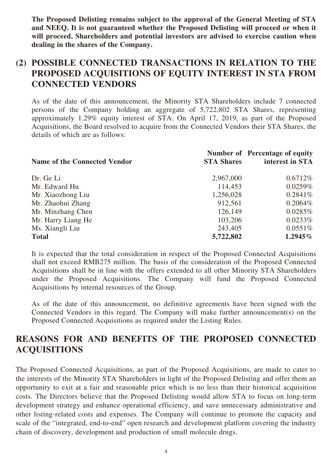**The Proposed Delisting remains subject to the approval of the General Meeting of STA and NEEQ. It is not guaranteed whether the Proposed Delisting will proceed or when it will proceed. Shareholders and potential investors are advised to exercise caution when dealing in the shares of the Company.**

#### **(2) POSSIBLE CONNECTED TRANSACTIONS IN RELATION TO THE PROPOSED ACQUISITIONS OF EQUITY INTEREST IN STA FROM CONNECTED VENDORS**

As of the date of this announcement, the Minority STA Shareholders include 7 connected persons of the Company holding an aggregate of 5,722,802 STA Shares, representing approximately 1.29% equity interest of STA. On April 17, 2019, as part of the Proposed Acquisitions, the Board resolved to acquire from the Connected Vendors their STA Shares, the details of which are as follows:

| <b>Name of the Connected Vendor</b> | <b>STA Shares</b> | <b>Number of Percentage of equity</b><br>interest in STA |
|-------------------------------------|-------------------|----------------------------------------------------------|
| Dr. Ge Li                           | 2,967,000         | $0.6712\%$                                               |
| Mr. Edward Hu                       | 114,453           | $0.0259\%$                                               |
| Mr. Xiaozhong Liu                   | 1,256,028         | $0.2841\%$                                               |
| Mr. Zhaohui Zhang                   | 912,561           | $0.2064\%$                                               |
| Mr. Minzhang Chen                   | 126,149           | $0.0285\%$                                               |
| Mr. Harry Liang He                  | 103,206           | $0.0233\%$                                               |
| Ms. Xiangli Liu                     | 243,405           | $0.0551\%$                                               |
| <b>Total</b>                        | 5,722,802         | $1.2945\%$                                               |

It is expected that the total consideration in respect of the Proposed Connected Acquisitions shall not exceed RMB275 million. The basis of the consideration of the Proposed Connected Acquisitions shall be in line with the offers extended to all other Minority STA Shareholders under the Proposed Acquisitions. The Company will fund the Proposed Connected Acquisitions by internal resources of the Group.

As of the date of this announcement, no definitive agreements have been signed with the Connected Vendors in this regard. The Company will make further announcement(s) on the Proposed Connected Acquisitions as required under the Listing Rules.

#### **REASONS FOR AND BENEFITS OF THE PROPOSED CONNECTED ACQUISITIONS**

The Proposed Connected Acquisitions, as part of the Proposed Acquisitions, are made to cater to the interests of the Minority STA Shareholders in light of the Proposed Delisting and offer them an opportunity to exit at a fair and reasonable price which is no less than their historical acquisition costs. The Directors believe that the Proposed Delisting would allow STA to focus on long-term development strategy and enhance operational efficiency, and save unnecessary administrative and other listing-related costs and expenses. The Company will continue to promote the capacity and scale of the "integrated, end-to-end" open research and development platform covering the industry chain of discovery, development and production of small molecule drugs.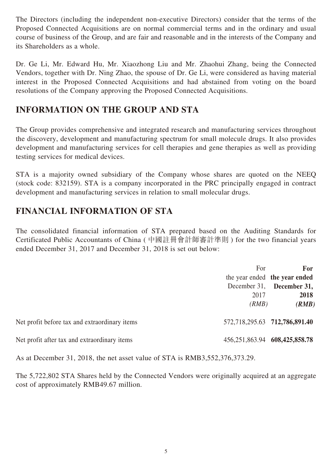The Directors (including the independent non-executive Directors) consider that the terms of the Proposed Connected Acquisitions are on normal commercial terms and in the ordinary and usual course of business of the Group, and are fair and reasonable and in the interests of the Company and its Shareholders as a whole.

Dr. Ge Li, Mr. Edward Hu, Mr. Xiaozhong Liu and Mr. Zhaohui Zhang, being the Connected Vendors, together with Dr. Ning Zhao, the spouse of Dr. Ge Li, were considered as having material interest in the Proposed Connected Acquisitions and had abstained from voting on the board resolutions of the Company approving the Proposed Connected Acquisitions.

#### **INFORMATION ON THE GROUP AND STA**

The Group provides comprehensive and integrated research and manufacturing services throughout the discovery, development and manufacturing spectrum for small molecule drugs. It also provides development and manufacturing services for cell therapies and gene therapies as well as providing testing services for medical devices.

STA is a majority owned subsidiary of the Company whose shares are quoted on the NEEQ (stock code: 832159). STA is a company incorporated in the PRC principally engaged in contract development and manufacturing services in relation to small molecular drugs.

#### **FINANCIAL INFORMATION OF STA**

The consolidated financial information of STA prepared based on the Auditing Standards for Certificated Public Accountants of China ( 中國註冊會計師審計準則 ) for the two financial years ended December 31, 2017 and December 31, 2018 is set out below:

|                                               | For                           | For<br>the year ended the year ended              |
|-----------------------------------------------|-------------------------------|---------------------------------------------------|
|                                               | 2017<br>(RMB)                 | December 31, <b>December 31,</b><br>2018<br>(RMB) |
| Net profit before tax and extraordinary items |                               | 572,718,295.63 712,786,891.40                     |
| Net profit after tax and extraordinary items  | 456,251,863.94 608,425,858.78 |                                                   |

As at December 31, 2018, the net asset value of STA is RMB3,552,376,373.29.

The 5,722,802 STA Shares held by the Connected Vendors were originally acquired at an aggregate cost of approximately RMB49.67 million.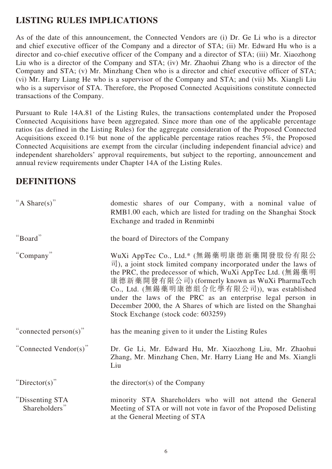#### **LISTING RULES IMPLICATIONS**

As of the date of this announcement, the Connected Vendors are (i) Dr. Ge Li who is a director and chief executive officer of the Company and a director of STA; (ii) Mr. Edward Hu who is a director and co-chief executive officer of the Company and a director of STA; (iii) Mr. Xiaozhong Liu who is a director of the Company and STA; (iv) Mr. Zhaohui Zhang who is a director of the Company and STA; (v) Mr. Minzhang Chen who is a director and chief executive officer of STA; (vi) Mr. Harry Liang He who is a supervisor of the Company and STA; and (vii) Ms. Xiangli Liu who is a supervisor of STA. Therefore, the Proposed Connected Acquisitions constitute connected transactions of the Company.

Pursuant to Rule 14A.81 of the Listing Rules, the transactions contemplated under the Proposed Connected Acquisitions have been aggregated. Since more than one of the applicable percentage ratios (as defined in the Listing Rules) for the aggregate consideration of the Proposed Connected Acquisitions exceed 0.1% but none of the applicable percentage ratios reaches  $5\%$ , the Proposed Connected Acquisitions are exempt from the circular (including independent financial advice) and independent shareholders' approval requirements, but subject to the reporting, announcement and annual review requirements under Chapter 14A of the Listing Rules.

#### **DEFINITIONS**

| "A Share(s)"                     | domestic shares of our Company, with a nominal value of<br>RMB1.00 each, which are listed for trading on the Shanghai Stock<br>Exchange and traded in Renminbi                                                                                                                                                                                                                                                                                                        |
|----------------------------------|-----------------------------------------------------------------------------------------------------------------------------------------------------------------------------------------------------------------------------------------------------------------------------------------------------------------------------------------------------------------------------------------------------------------------------------------------------------------------|
| "Board"                          | the board of Directors of the Company                                                                                                                                                                                                                                                                                                                                                                                                                                 |
| "Company"                        | WuXi AppTec Co., Ltd.* (無錫藥明康德新藥開發股份有限公<br>$\vec{\mathbb{E}}$ ), a joint stock limited company incorporated under the laws of<br>the PRC, the predecessor of which, WuXi AppTec Ltd. (無錫藥明)<br>康德新藥開發有限公司) (formerly known as WuXi PharmaTech<br>Co., Ltd. (無錫藥明康德組合化學有限公司)), was established<br>under the laws of the PRC as an enterprise legal person in<br>December 2000, the A Shares of which are listed on the Shanghai<br>Stock Exchange (stock code: 603259) |
| "connected person(s)"            | has the meaning given to it under the Listing Rules                                                                                                                                                                                                                                                                                                                                                                                                                   |
| "Connected Vendor(s)"            | Dr. Ge Li, Mr. Edward Hu, Mr. Xiaozhong Liu, Mr. Zhaohui<br>Zhang, Mr. Minzhang Chen, Mr. Harry Liang He and Ms. Xiangli<br>Liu                                                                                                                                                                                                                                                                                                                                       |
| " $Directory$ "                  | the director(s) of the Company                                                                                                                                                                                                                                                                                                                                                                                                                                        |
| "Dissenting STA<br>Shareholders" | minority STA Shareholders who will not attend the General<br>Meeting of STA or will not vote in favor of the Proposed Delisting<br>at the General Meeting of STA                                                                                                                                                                                                                                                                                                      |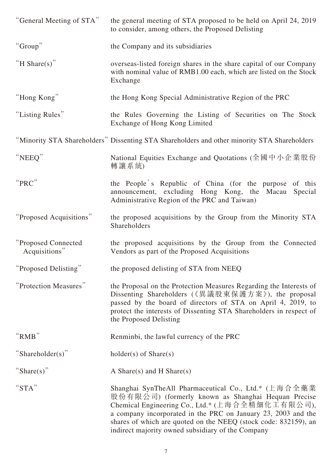| "General Meeting of STA"             | the general meeting of STA proposed to be held on April 24, 2019<br>to consider, among others, the Proposed Delisting                                                                                                                                                                                                                                  |
|--------------------------------------|--------------------------------------------------------------------------------------------------------------------------------------------------------------------------------------------------------------------------------------------------------------------------------------------------------------------------------------------------------|
| "Group"                              | the Company and its subsidiaries                                                                                                                                                                                                                                                                                                                       |
| "H Share(s)"                         | overseas-listed foreign shares in the share capital of our Company<br>with nominal value of RMB1.00 each, which are listed on the Stock<br>Exchange                                                                                                                                                                                                    |
| "Hong Kong"                          | the Hong Kong Special Administrative Region of the PRC                                                                                                                                                                                                                                                                                                 |
| "Listing Rules"                      | the Rules Governing the Listing of Securities on The Stock<br>Exchange of Hong Kong Limited                                                                                                                                                                                                                                                            |
|                                      | "Minority STA Shareholders" Dissenting STA Shareholders and other minority STA Shareholders                                                                                                                                                                                                                                                            |
| "NEEQ"                               | National Equities Exchange and Quotations (全國中小企業股份<br>轉讓系統)                                                                                                                                                                                                                                                                                           |
| "PRC"                                | the People's Republic of China (for the purpose of this<br>announcement, excluding Hong Kong, the Macau<br>Special<br>Administrative Region of the PRC and Taiwan)                                                                                                                                                                                     |
| "Proposed Acquisitions"              | the proposed acquisitions by the Group from the Minority STA<br>Shareholders                                                                                                                                                                                                                                                                           |
| "Proposed Connected<br>Acquisitions" | the proposed acquisitions by the Group from the Connected<br>Vendors as part of the Proposed Acquisitions                                                                                                                                                                                                                                              |
| "Proposed Delisting"                 | the proposed delisting of STA from NEEQ                                                                                                                                                                                                                                                                                                                |
| "Protection Measures"                | the Proposal on the Protection Measures Regarding the Interests of<br>Dissenting Shareholders (《異議股東保護方案》), the proposal<br>passed by the board of directors of STA on April 4, 2019, to<br>protect the interests of Dissenting STA Shareholders in respect of<br>the Proposed Delisting                                                               |
| " $RMB$ "                            | Renminbi, the lawful currency of the PRC                                                                                                                                                                                                                                                                                                               |
| "Shareholder(s)"                     | $holder(s)$ of $Share(s)$                                                                                                                                                                                                                                                                                                                              |
| "Share(s)"                           | A Share(s) and H Share(s)                                                                                                                                                                                                                                                                                                                              |
| "STA"                                | Shanghai SynTheAll Pharmaceutical Co., Ltd.* (上海合全藥業<br>股份有限公司) (formerly known as Shanghai Hequan Precise<br>Chemical Engineering Co., Ltd.* (上海合全精細化工有限公司),<br>a company incorporated in the PRC on January 23, 2003 and the<br>shares of which are quoted on the NEEQ (stock code: 832159), an<br>indirect majority owned subsidiary of the Company |